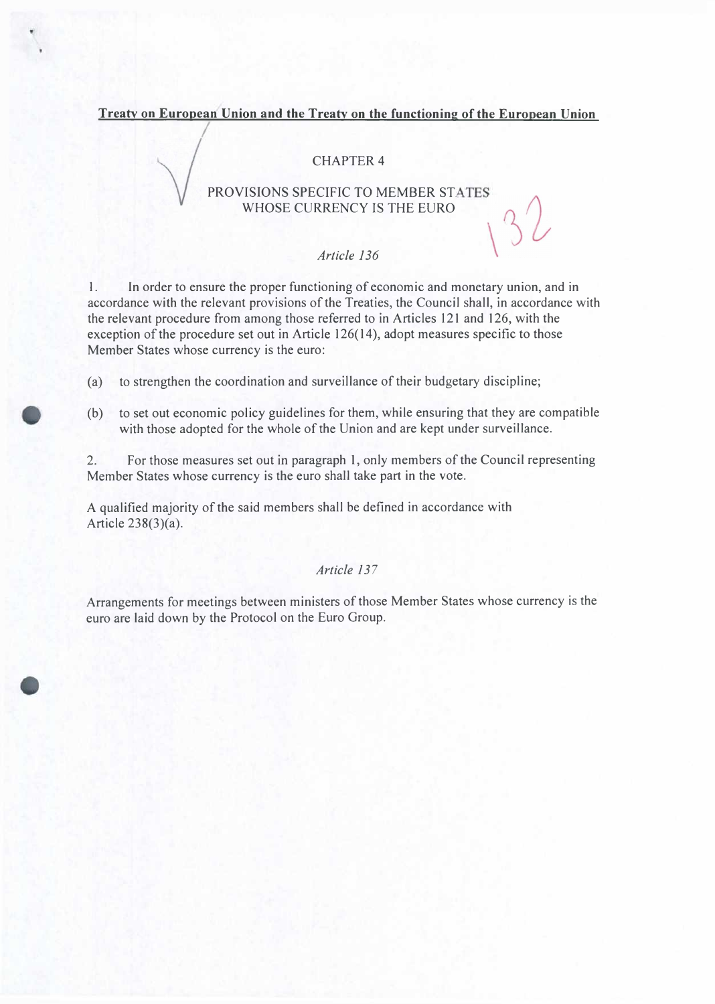**Treaty on European Union and the Treaty on the functioning of the European Union**

## CHAPTER 4

PROVISIONS SPECIFIC TO MEMBER STATES WHOSE CURRENCY IS THE EURO

#### *Article 136*

1. In order to ensure the proper functioning of economic and monetary union, and in accordance with the relevant provisions of the Treaties, the Council shall, in accordance with the relevant procedure from among those referred to in Articles 121 and 126, with the exception of the procedure set out in Article 126(14), adopt measures specific to those Member States whose currency is the euro:

(a) to strengthen the coordination and surveillance of their budgetary discipline;

(b) to set out economic policy guidelines for them, while ensuring that they are compatible with those adopted for the whole of the Union and are kept under surveillance.

2. For those measures set out in paragraph 1, only members of the Council representing Member States whose currency is the euro shall take part in the vote.

A qualified majority of the said members shall be defined in accordance with Article 238(3)(a).

# *Article 137*

Arrangements for meetings between ministers of those Member States whose currency is the euro are laid down by the Protocol on the Euro Group.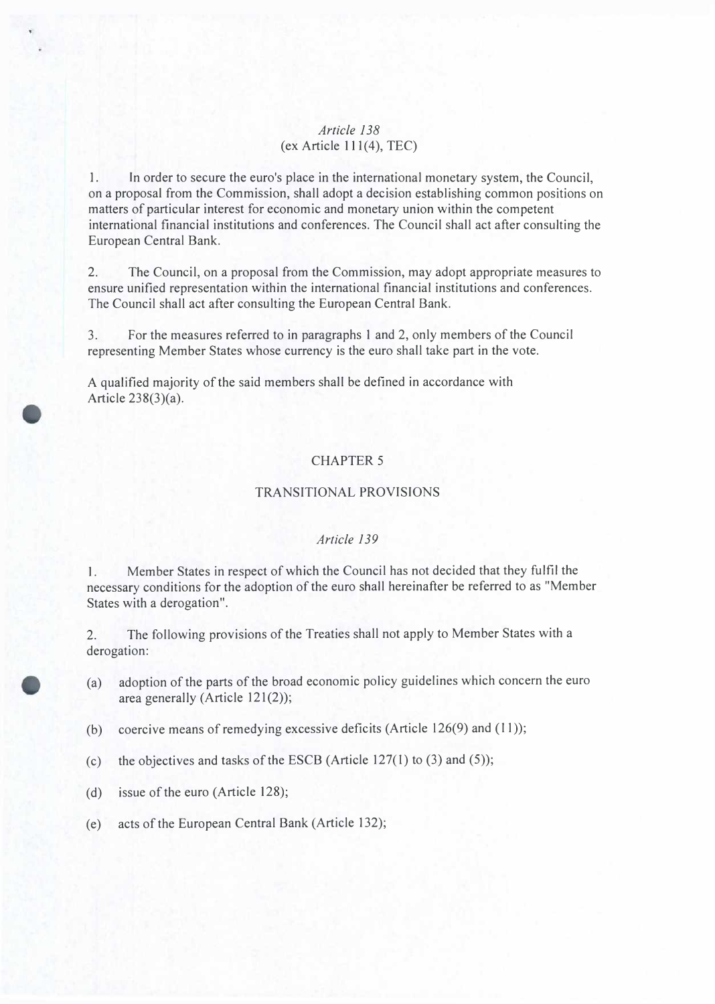### *Article 138*  $(ex Article 111(4), TEC)$

1. In order to secure the euro's place in the international monetary system, the Council, on a proposal from the Commission, shall adopt a decision establishing common positions on matters of particular interest for economic and monetary union within the competent international financial institutions and conferences. The Council shall act after consulting the European Central Bank.

2. The Council, on a proposal from the Commission, may adopt appropriate measures to ensure unified representation within the international financial institutions and conferences. The Council shall act after consulting the European Central Bank.

3. For the measures referred to in paragraphs 1 and 2, only members of the Council representing Member States whose currency is the euro shall take part in the vote.

A qualified majority of the said members shall be defined in accordance with Article 238(3)(a).

## CHAPTER 5

#### TRANSITIONAL PROVISIONS

#### *Article 139*

1. Member States in respect of which the Council has not decided that they fulfil the necessary conditions for the adoption of the euro shall hereinafter be referred to as "Member States with a derogation".

2. The following provisions of the Treaties shall not apply to Member States with a derogation:

- (a) adoption of the parts of the broad economic policy guidelines which concern the euro area generally (Article 121(2));
- (b) coercive means of remedying excessive deficits (Article 126(9) and (11));
- (c) the objectives and tasks of the ESCB (Article  $127(1)$  to (3) and (5));
- (d) issue of the euro (Article 128);
- (e) acts of the European Central Bank (Article 132);